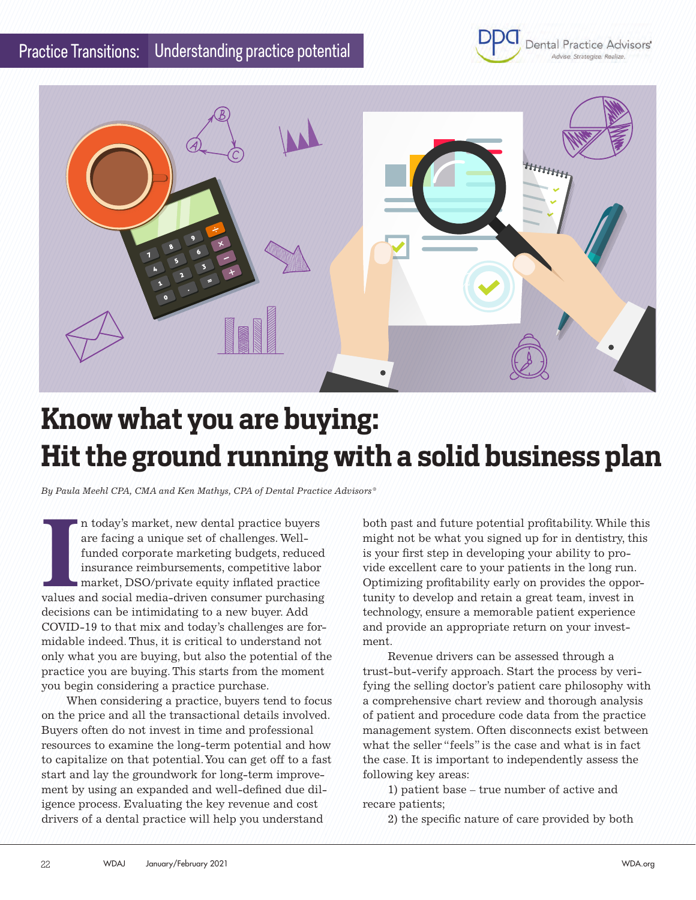



## **Know what you are buying: Hit the ground running with a solid business plan**

*By Paula Meehl CPA, CMA and Ken Mathys, CPA of Dental Practice Advisors®*

II today's market, new dental practice buyers<br>are facing a unique set of challenges. Well-<br>funded corporate marketing budgets, reduced<br>insurance reimbursements, competitive labor<br>market, DSO/private equity inflated practic n today's market, new dental practice buyers are facing a unique set of challenges. Wellfunded corporate marketing budgets, reduced insurance reimbursements, competitive labor market, DSO/private equity inflated practice decisions can be intimidating to a new buyer. Add COVID-19 to that mix and today's challenges are formidable indeed. Thus, it is critical to understand not only what you are buying, but also the potential of the practice you are buying. This starts from the moment you begin considering a practice purchase.

When considering a practice, buyers tend to focus on the price and all the transactional details involved. Buyers often do not invest in time and professional resources to examine the long-term potential and how to capitalize on that potential. You can get off to a fast start and lay the groundwork for long-term improvement by using an expanded and well-defined due diligence process. Evaluating the key revenue and cost drivers of a dental practice will help you understand

both past and future potential profitability. While this might not be what you signed up for in dentistry, this is your first step in developing your ability to provide excellent care to your patients in the long run. Optimizing profitability early on provides the opportunity to develop and retain a great team, invest in technology, ensure a memorable patient experience and provide an appropriate return on your investment.

Revenue drivers can be assessed through a trust-but-verify approach. Start the process by verifying the selling doctor's patient care philosophy with a comprehensive chart review and thorough analysis of patient and procedure code data from the practice management system. Often disconnects exist between what the seller "feels" is the case and what is in fact the case. It is important to independently assess the following key areas:

1) patient base – true number of active and recare patients;

2) the specific nature of care provided by both